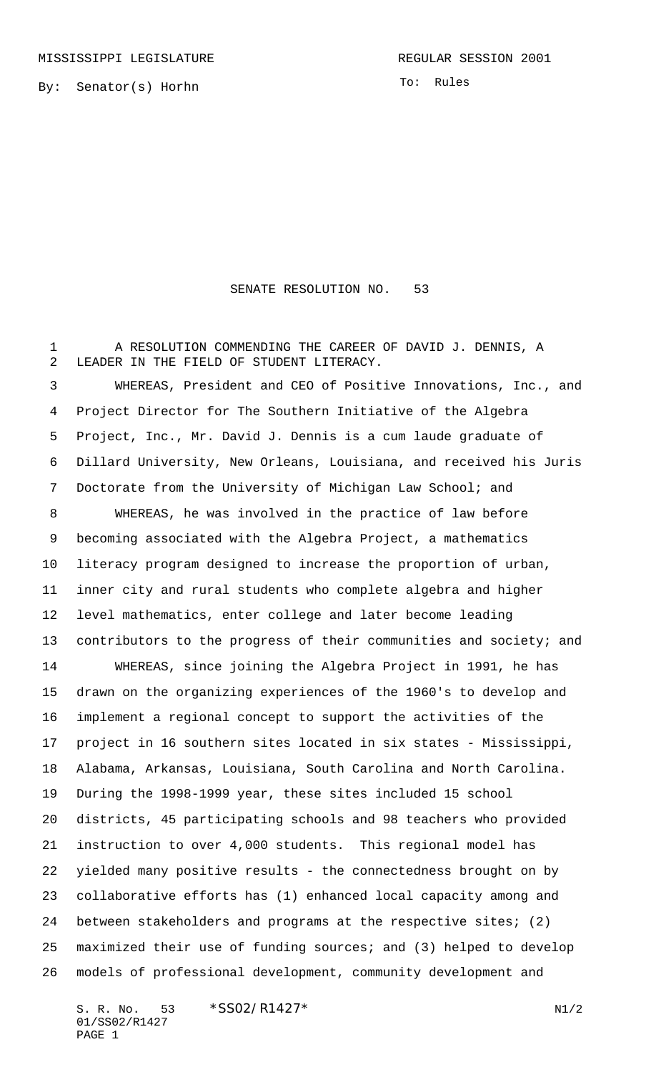By: Senator(s) Horhn

To: Rules

## SENATE RESOLUTION NO. 53

 A RESOLUTION COMMENDING THE CAREER OF DAVID J. DENNIS, A LEADER IN THE FIELD OF STUDENT LITERACY.

 WHEREAS, President and CEO of Positive Innovations, Inc., and Project Director for The Southern Initiative of the Algebra Project, Inc., Mr. David J. Dennis is a cum laude graduate of Dillard University, New Orleans, Louisiana, and received his Juris Doctorate from the University of Michigan Law School; and

 WHEREAS, he was involved in the practice of law before becoming associated with the Algebra Project, a mathematics literacy program designed to increase the proportion of urban, inner city and rural students who complete algebra and higher level mathematics, enter college and later become leading 13 contributors to the progress of their communities and society; and

 WHEREAS, since joining the Algebra Project in 1991, he has drawn on the organizing experiences of the 1960's to develop and implement a regional concept to support the activities of the project in 16 southern sites located in six states - Mississippi, Alabama, Arkansas, Louisiana, South Carolina and North Carolina. During the 1998-1999 year, these sites included 15 school districts, 45 participating schools and 98 teachers who provided instruction to over 4,000 students. This regional model has yielded many positive results - the connectedness brought on by collaborative efforts has (1) enhanced local capacity among and between stakeholders and programs at the respective sites; (2) maximized their use of funding sources; and (3) helped to develop models of professional development, community development and

S. R. No. \*SS02/R1427\* N1/2 01/SS02/R1427 PAGE 1